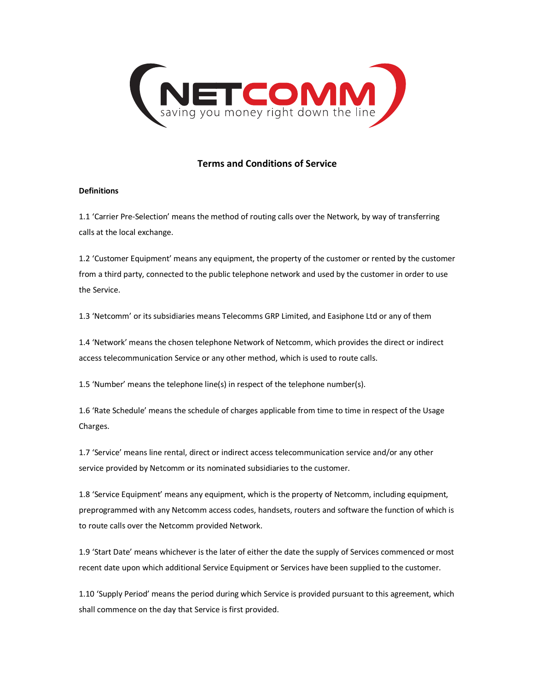

# **Terms and Conditions of Service**

# **Definitions**

1.1 'Carrier Pre-Selection' means the method of routing calls over the Network, by way of transferring calls at the local exchange.

1.2 'Customer Equipment' means any equipment, the property of the customer or rented by the customer from a third party, connected to the public telephone network and used by the customer in order to use the Service.

1.3 'Netcomm' or its subsidiaries means Telecomms GRP Limited, and Easiphone Ltd or any of them

1.4 'Network' means the chosen telephone Network of Netcomm, which provides the direct or indirect access telecommunication Service or any other method, which is used to route calls.

1.5 'Number' means the telephone line(s) in respect of the telephone number(s).

1.6 'Rate Schedule' means the schedule of charges applicable from time to time in respect of the Usage Charges.

1.7 'Service' means line rental, direct or indirect access telecommunication service and/or any other service provided by Netcomm or its nominated subsidiaries to the customer.

1.8 'Service Equipment' means any equipment, which is the property of Netcomm, including equipment, preprogrammed with any Netcomm access codes, handsets, routers and software the function of which is to route calls over the Netcomm provided Network.

1.9 'Start Date' means whichever is the later of either the date the supply of Services commenced or most recent date upon which additional Service Equipment or Services have been supplied to the customer.

1.10 'Supply Period' means the period during which Service is provided pursuant to this agreement, which shall commence on the day that Service is first provided.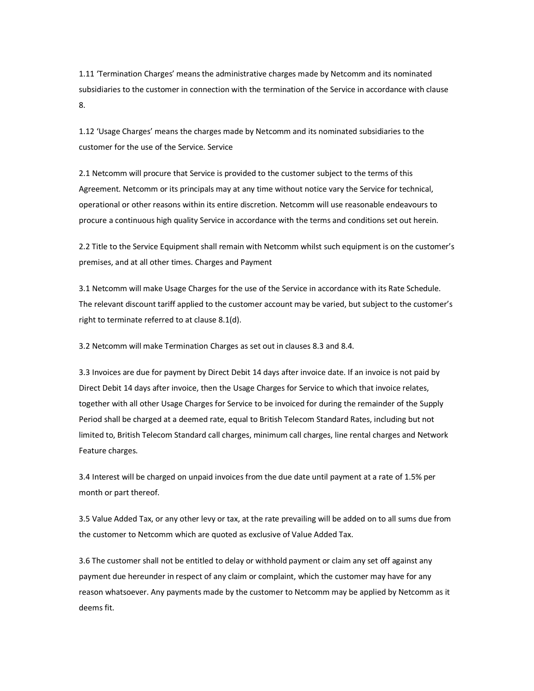1.11 'Termination Charges' means the administrative charges made by Netcomm and its nominated subsidiaries to the customer in connection with the termination of the Service in accordance with clause 8.

1.12 'Usage Charges' means the charges made by Netcomm and its nominated subsidiaries to the customer for the use of the Service. Service

2.1 Netcomm will procure that Service is provided to the customer subject to the terms of this Agreement. Netcomm or its principals may at any time without notice vary the Service for technical, operational or other reasons within its entire discretion. Netcomm will use reasonable endeavours to procure a continuous high quality Service in accordance with the terms and conditions set out herein.

2.2 Title to the Service Equipment shall remain with Netcomm whilst such equipment is on the customer's premises, and at all other times. Charges and Payment

3.1 Netcomm will make Usage Charges for the use of the Service in accordance with its Rate Schedule. The relevant discount tariff applied to the customer account may be varied, but subject to the customer's right to terminate referred to at clause 8.1(d).

3.2 Netcomm will make Termination Charges as set out in clauses 8.3 and 8.4.

3.3 Invoices are due for payment by Direct Debit 14 days after invoice date. If an invoice is not paid by Direct Debit 14 days after invoice, then the Usage Charges for Service to which that invoice relates, together with all other Usage Charges for Service to be invoiced for during the remainder of the Supply Period shall be charged at a deemed rate, equal to British Telecom Standard Rates, including but not limited to, British Telecom Standard call charges, minimum call charges, line rental charges and Network Feature charges.

3.4 Interest will be charged on unpaid invoices from the due date until payment at a rate of 1.5% per month or part thereof.

3.5 Value Added Tax, or any other levy or tax, at the rate prevailing will be added on to all sums due from the customer to Netcomm which are quoted as exclusive of Value Added Tax.

3.6 The customer shall not be entitled to delay or withhold payment or claim any set off against any payment due hereunder in respect of any claim or complaint, which the customer may have for any reason whatsoever. Any payments made by the customer to Netcomm may be applied by Netcomm as it deems fit.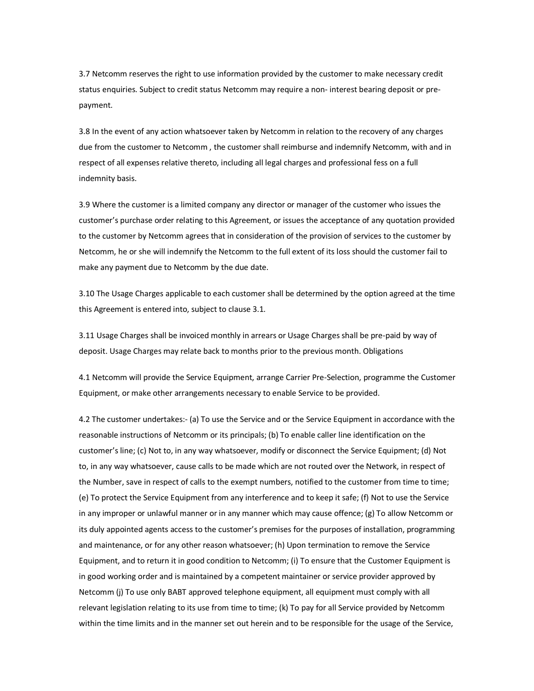3.7 Netcomm reserves the right to use information provided by the customer to make necessary credit status enquiries. Subject to credit status Netcomm may require a non- interest bearing deposit or prepayment.

3.8 In the event of any action whatsoever taken by Netcomm in relation to the recovery of any charges due from the customer to Netcomm , the customer shall reimburse and indemnify Netcomm, with and in respect of all expenses relative thereto, including all legal charges and professional fess on a full indemnity basis.

3.9 Where the customer is a limited company any director or manager of the customer who issues the customer's purchase order relating to this Agreement, or issues the acceptance of any quotation provided to the customer by Netcomm agrees that in consideration of the provision of services to the customer by Netcomm, he or she will indemnify the Netcomm to the full extent of its loss should the customer fail to make any payment due to Netcomm by the due date.

3.10 The Usage Charges applicable to each customer shall be determined by the option agreed at the time this Agreement is entered into, subject to clause 3.1.

3.11 Usage Charges shall be invoiced monthly in arrears or Usage Charges shall be pre-paid by way of deposit. Usage Charges may relate back to months prior to the previous month. Obligations

4.1 Netcomm will provide the Service Equipment, arrange Carrier Pre-Selection, programme the Customer Equipment, or make other arrangements necessary to enable Service to be provided.

4.2 The customer undertakes:- (a) To use the Service and or the Service Equipment in accordance with the reasonable instructions of Netcomm or its principals; (b) To enable caller line identification on the customer's line; (c) Not to, in any way whatsoever, modify or disconnect the Service Equipment; (d) Not to, in any way whatsoever, cause calls to be made which are not routed over the Network, in respect of the Number, save in respect of calls to the exempt numbers, notified to the customer from time to time; (e) To protect the Service Equipment from any interference and to keep it safe; (f) Not to use the Service in any improper or unlawful manner or in any manner which may cause offence; (g) To allow Netcomm or its duly appointed agents access to the customer's premises for the purposes of installation, programming and maintenance, or for any other reason whatsoever; (h) Upon termination to remove the Service Equipment, and to return it in good condition to Netcomm; (i) To ensure that the Customer Equipment is in good working order and is maintained by a competent maintainer or service provider approved by Netcomm (j) To use only BABT approved telephone equipment, all equipment must comply with all relevant legislation relating to its use from time to time; (k) To pay for all Service provided by Netcomm within the time limits and in the manner set out herein and to be responsible for the usage of the Service,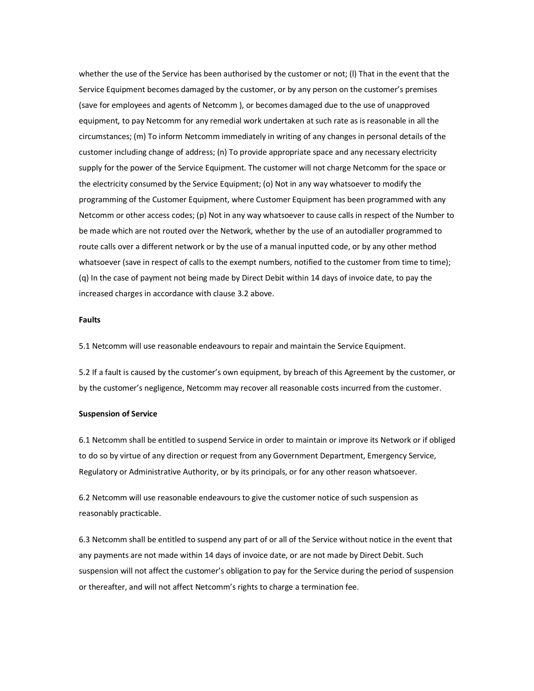whether the use of the Service has been authorised by the customer or not; (l) That in the event that the Service Equipment becomes damaged by the customer, or by any person on the customer's premises (save for employees and agents of Netcomm ), or becomes damaged due to the use of unapproved equipment, to pay Netcomm for any remedial work undertaken at such rate as is reasonable in all the circumstances; (m) To inform Netcomm immediately in writing of any changes in personal details of the customer including change of address; (n) To provide appropriate space and any necessary electricity supply for the power of the Service Equipment. The customer will not charge Netcomm for the space or the electricity consumed by the Service Equipment; (o) Not in any way whatsoever to modify the programming of the Customer Equipment, where Customer Equipment has been programmed with any Netcomm or other access codes; (p) Not in any way whatsoever to cause calls in respect of the Number to be made which are not routed over the Network, whether by the use of an autodialler programmed to route calls over a different network or by the use of a manual inputted code, or by any other method whatsoever (save in respect of calls to the exempt numbers, notified to the customer from time to time); (q) In the case of payment not being made by Direct Debit within 14 days of invoice date, to pay the increased charges in accordance with clause 3.2 above.

### **Faults**

5.1 Netcomm will use reasonable endeavours to repair and maintain the Service Equipment.

5.2 If a fault is caused by the customer's own equipment, by breach of this Agreement by the customer, or by the customer's negligence, Netcomm may recover all reasonable costs incurred from the customer.

#### **Suspension of Service**

6.1 Netcomm shall be entitled to suspend Service in order to maintain or improve its Network or if obliged to do so by virtue of any direction or request from any Government Department, Emergency Service, Regulatory or Administrative Authority, or by its principals, or for any other reason whatsoever.

6.2 Netcomm will use reasonable endeavours to give the customer notice of such suspension as reasonably practicable.

6.3 Netcomm shall be entitled to suspend any part of or all of the Service without notice in the event that any payments are not made within 14 days of invoice date, or are not made by Direct Debit. Such suspension will not affect the customer's obligation to pay for the Service during the period of suspension or thereafter, and will not affect Netcomm's rights to charge a termination fee.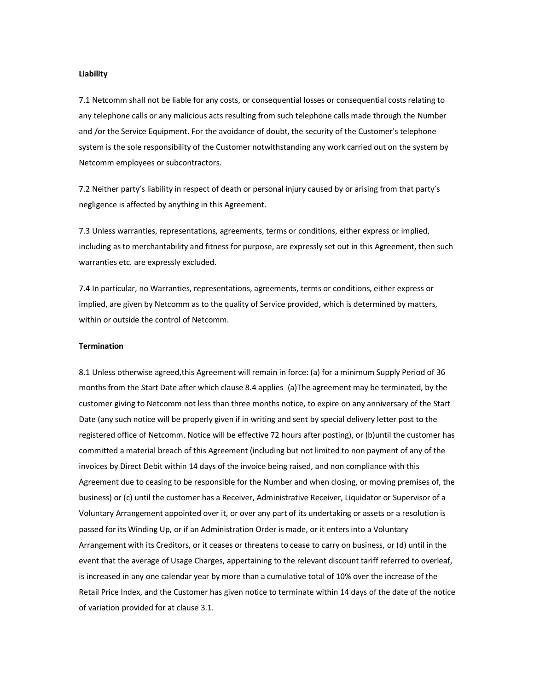#### **Liability**

7.1 Netcomm shall not be liable for any costs, or consequential losses or consequential costs relating to any telephone calls or any malicious acts resulting from such telephone calls made through the Number and /or the Service Equipment. For the avoidance of doubt, the security of the Customer's telephone system is the sole responsibility of the Customer notwithstanding any work carried out on the system by Netcomm employees or subcontractors.

7.2 Neither party's liability in respect of death or personal injury caused by or arising from that party's negligence is affected by anything in this Agreement.

7.3 Unless warranties, representations, agreements, terms or conditions, either express or implied, including as to merchantability and fitness for purpose, are expressly set out in this Agreement, then such warranties etc. are expressly excluded.

7.4 In particular, no Warranties, representations, agreements, terms or conditions, either express or implied, are given by Netcomm as to the quality of Service provided, which is determined by matters, within or outside the control of Netcomm.

## **Termination**

8.1 Unless otherwise agreed,this Agreement will remain in force: (a) for a minimum Supply Period of 36 months from the Start Date after which clause 8.4 applies (a)The agreement may be terminated, by the customer giving to Netcomm not less than three months notice, to expire on any anniversary of the Start Date (any such notice will be properly given if in writing and sent by special delivery letter post to the registered office of Netcomm. Notice will be effective 72 hours after posting), or (b)until the customer has committed a material breach of this Agreement (including but not limited to non payment of any of the invoices by Direct Debit within 14 days of the invoice being raised, and non compliance with this Agreement due to ceasing to be responsible for the Number and when closing, or moving premises of, the business) or (c) until the customer has a Receiver, Administrative Receiver, Liquidator or Supervisor of a Voluntary Arrangement appointed over it, or over any part of its undertaking or assets or a resolution is passed for its Winding Up, or if an Administration Order is made, or it enters into a Voluntary Arrangement with its Creditors, or it ceases or threatens to cease to carry on business, or (d) until in the event that the average of Usage Charges, appertaining to the relevant discount tariff referred to overleaf, is increased in any one calendar year by more than a cumulative total of 10% over the increase of the Retail Price Index, and the Customer has given notice to terminate within 14 days of the date of the notice of variation provided for at clause 3.1.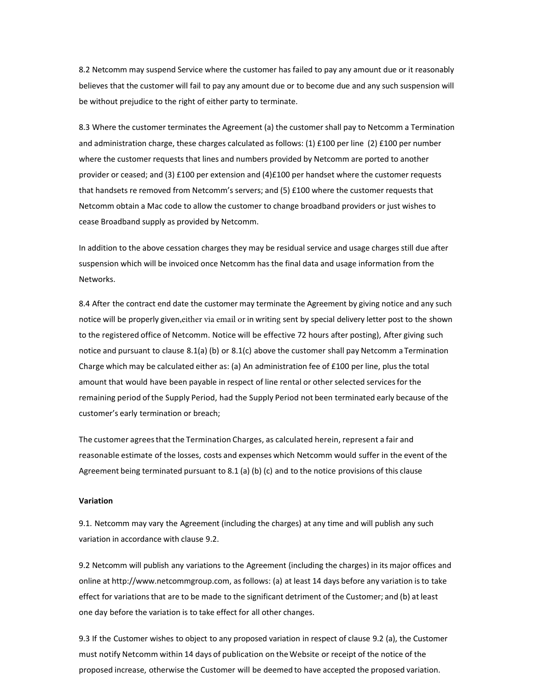8.2 Netcomm may suspend Service where the customer has failed to pay any amount due or it reasonably believes that the customer will fail to pay any amount due or to become due and any such suspension will be without prejudice to the right of either party to terminate.

8.3 Where the customer terminates the Agreement (a) the customer shall pay to Netcomm a Termination and administration charge, these charges calculated as follows:  $(1)$  £100 per line  $(2)$  £100 per number where the customer requests that lines and numbers provided by Netcomm are ported to another provider or ceased; and (3) £100 per extension and (4)£100 per handset where the customer requests that handsets re removed from Netcomm's servers; and (5) £100 where the customer requests that Netcomm obtain a Mac code to allow the customer to change broadband providers or just wishes to cease Broadband supply as provided by Netcomm.

In addition to the above cessation charges they may be residual service and usage charges still due after suspension which will be invoiced once Netcomm has the final data and usage information from the Networks.

8.4 After the contract end date the customer may terminate the Agreement by giving notice and any such notice will be properly given,either via email or in writing sent by special delivery letter post to the shown to the registered office of Netcomm. Notice will be effective 72 hours after posting), After giving such notice and pursuant to clause 8.1(a) (b) or 8.1(c) above the customer shall pay Netcomm a Termination Charge which may be calculated either as: (a) An administration fee of £100 per line, plusthe total amount that would have been payable in respect of line rental or other selected servicesfor the remaining period ofthe Supply Period, had the Supply Period not been terminated early because of the customer's early termination or breach;

The customer agreesthat the Termination Charges, as calculated herein, represent a fair and reasonable estimate of the losses, costs and expenses which Netcomm would suffer in the event of the Agreement being terminated pursuant to 8.1 (a) (b) (c) and to the notice provisions of this clause

### **Variation**

9.1. Netcomm may vary the Agreement (including the charges) at any time and will publish any such variation in accordance with clause 9.2.

9.2 Netcomm will publish any variations to the Agreement (including the charges) in its major offices and online at http://www.netcommgroup.com, asfollows: (a) at least 14 days before any variation isto take effect for variationsthat are to be made to the significant detriment of the Customer; and (b) at least one day before the variation is to take effect for all other changes.

9.3 If the Customer wishes to object to any proposed variation in respect of clause 9.2 (a), the Customer must notify Netcomm within 14 days of publication on theWebsite or receipt of the notice of the proposed increase, otherwise the Customer will be deemed to have accepted the proposed variation.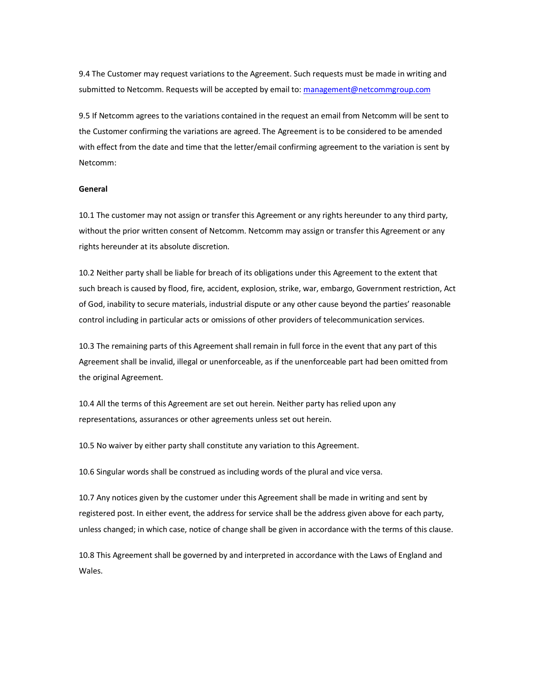9.4 The Customer may request variations to the Agreement. Such requests must be made in writing and submitted to Netcomm. Requests will be accepted by email to: management@netcommgroup.com

9.5 If Netcomm agrees to the variations contained in the request an email from Netcomm will be sent to the Customer confirming the variations are agreed. The Agreement is to be considered to be amended with effect from the date and time that the letter/email confirming agreement to the variation is sent by Netcomm:

#### **General**

10.1 The customer may not assign or transfer this Agreement or any rights hereunder to any third party, without the prior written consent of Netcomm. Netcomm may assign or transfer this Agreement or any rights hereunder at its absolute discretion.

10.2 Neither party shall be liable for breach of its obligations under this Agreement to the extent that such breach is caused by flood, fire, accident, explosion, strike, war, embargo, Government restriction, Act of God, inability to secure materials, industrial dispute or any other cause beyond the parties' reasonable control including in particular acts or omissions of other providers of telecommunication services.

10.3 The remaining parts of this Agreement shall remain in full force in the event that any part of this Agreement shall be invalid, illegal or unenforceable, as if the unenforceable part had been omitted from the original Agreement.

10.4 All the terms of this Agreement are set out herein. Neither party has relied upon any representations, assurances or other agreements unless set out herein.

10.5 No waiver by either party shall constitute any variation to this Agreement.

10.6 Singular words shall be construed as including words of the plural and vice versa.

10.7 Any notices given by the customer under this Agreement shall be made in writing and sent by registered post. In either event, the address for service shall be the address given above for each party, unless changed; in which case, notice of change shall be given in accordance with the terms of this clause.

10.8 This Agreement shall be governed by and interpreted in accordance with the Laws of England and Wales.